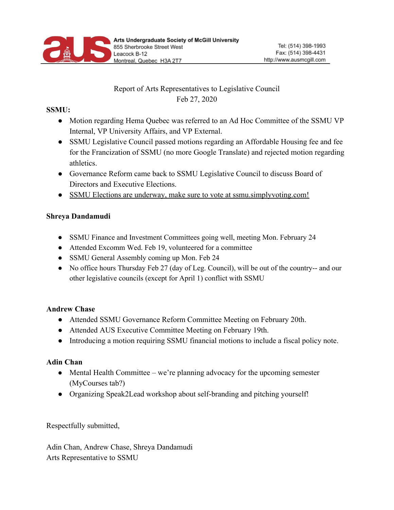

# Report of Arts Representatives to Legislative Council Feb 27, 2020

#### **SSMU:**

- Motion regarding Hema Quebec was referred to an Ad Hoc Committee of the SSMU VP Internal, VP University Affairs, and VP External.
- SSMU Legislative Council passed motions regarding an Affordable Housing fee and fee for the Francization of SSMU (no more Google Translate) and rejected motion regarding athletics.
- Governance Reform came back to SSMU Legislative Council to discuss Board of Directors and Executive Elections.
- SSMU Elections are underway, make sure to vote at ssmu.simplyvoting.com!

### **Shreya Dandamudi**

- SSMU Finance and Investment Committees going well, meeting Mon. February 24
- Attended Excomm Wed. Feb 19, volunteered for a committee
- SSMU General Assembly coming up Mon. Feb 24
- No office hours Thursday Feb 27 (day of Leg. Council), will be out of the country-- and our other legislative councils (except for April 1) conflict with SSMU

## **Andrew Chase**

- Attended SSMU Governance Reform Committee Meeting on February 20th.
- Attended AUS Executive Committee Meeting on February 19th.
- Introducing a motion requiring SSMU financial motions to include a fiscal policy note.

## **Adin Chan**

- Mental Health Committee we're planning advocacy for the upcoming semester (MyCourses tab?)
- Organizing Speak2Lead workshop about self-branding and pitching yourself!

Respectfully submitted,

Adin Chan, Andrew Chase, Shreya Dandamudi Arts Representative to SSMU